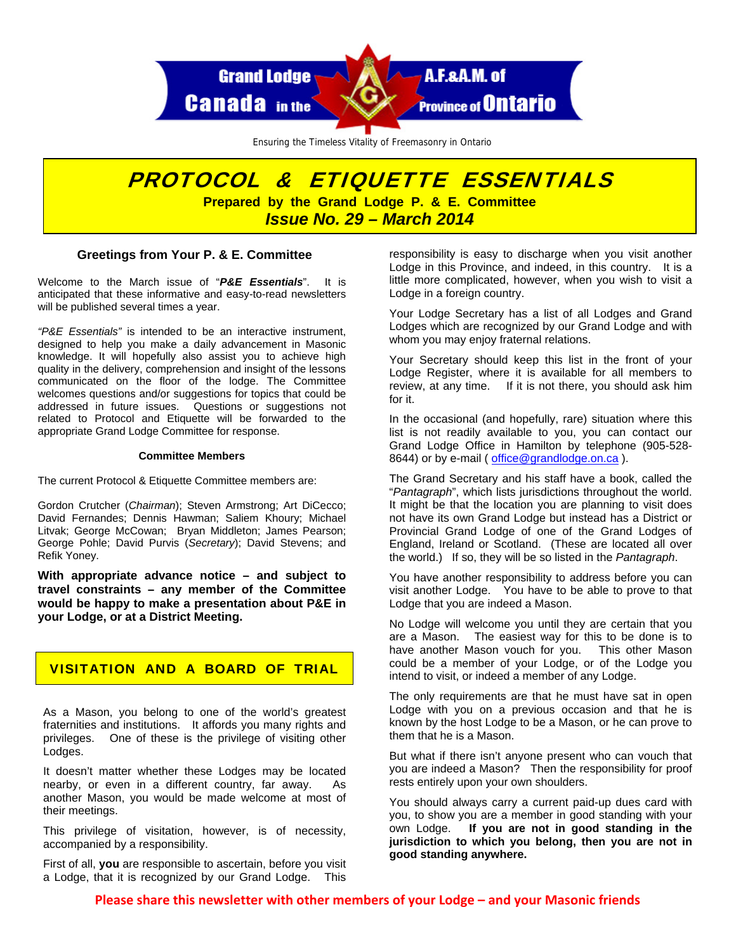

Ensuring the Timeless Vitality of Freemasonry in Ontario

# PROTOCOL & ETIQUETTE ESSENTIALS **Prepared by the Grand Lodge P. & E. Committee**  *Issue No. 29 – March 2014*

### **Greetings from Your P. & E. Committee**

Welcome to the March issue of "*P&E Essentials*". It is anticipated that these informative and easy-to-read newsletters will be published several times a year.

*"P&E Essentials"* is intended to be an interactive instrument, designed to help you make a daily advancement in Masonic knowledge. It will hopefully also assist you to achieve high quality in the delivery, comprehension and insight of the lessons communicated on the floor of the lodge. The Committee welcomes questions and/or suggestions for topics that could be addressed in future issues. Questions or suggestions not related to Protocol and Etiquette will be forwarded to the appropriate Grand Lodge Committee for response.

#### **Committee Members**

The current Protocol & Etiquette Committee members are:

Gordon Crutcher (*Chairman*); Steven Armstrong; Art DiCecco; David Fernandes; Dennis Hawman; Saliem Khoury; Michael Litvak; George McCowan; Bryan Middleton; James Pearson; George Pohle; David Purvis (*Secretary*); David Stevens; and Refik Yoney.

**With appropriate advance notice – and subject to travel constraints – any member of the Committee would be happy to make a presentation about P&E in your Lodge, or at a District Meeting.** 

# VISITATION AND A BOARD OF TRIAL

As a Mason, you belong to one of the world's greatest fraternities and institutions. It affords you many rights and privileges. One of these is the privilege of visiting other Lodges.

It doesn't matter whether these Lodges may be located nearby, or even in a different country, far away. As another Mason, you would be made welcome at most of their meetings.

This privilege of visitation, however, is of necessity, accompanied by a responsibility.

First of all, **you** are responsible to ascertain, before you visit a Lodge, that it is recognized by our Grand Lodge. This

responsibility is easy to discharge when you visit another Lodge in this Province, and indeed, in this country. It is a little more complicated, however, when you wish to visit a Lodge in a foreign country.

Your Lodge Secretary has a list of all Lodges and Grand Lodges which are recognized by our Grand Lodge and with whom you may enjoy fraternal relations.

Your Secretary should keep this list in the front of your Lodge Register, where it is available for all members to review, at any time. If it is not there, you should ask him for it.

In the occasional (and hopefully, rare) situation where this list is not readily available to you, you can contact our Grand Lodge Office in Hamilton by telephone (905-528- 8644) or by e-mail (office@grandlodge.on.ca).

The Grand Secretary and his staff have a book, called the "*Pantagraph*", which lists jurisdictions throughout the world. It might be that the location you are planning to visit does not have its own Grand Lodge but instead has a District or Provincial Grand Lodge of one of the Grand Lodges of England, Ireland or Scotland. (These are located all over the world.) If so, they will be so listed in the *Pantagraph*.

You have another responsibility to address before you can visit another Lodge. You have to be able to prove to that Lodge that you are indeed a Mason.

No Lodge will welcome you until they are certain that you are a Mason. The easiest way for this to be done is to have another Mason vouch for you. This other Mason could be a member of your Lodge, or of the Lodge you intend to visit, or indeed a member of any Lodge.

The only requirements are that he must have sat in open Lodge with you on a previous occasion and that he is known by the host Lodge to be a Mason, or he can prove to them that he is a Mason.

But what if there isn't anyone present who can vouch that you are indeed a Mason? Then the responsibility for proof rests entirely upon your own shoulders.

You should always carry a current paid-up dues card with you, to show you are a member in good standing with your own Lodge. **If you are not in good standing in the jurisdiction to which you belong, then you are not in good standing anywhere.**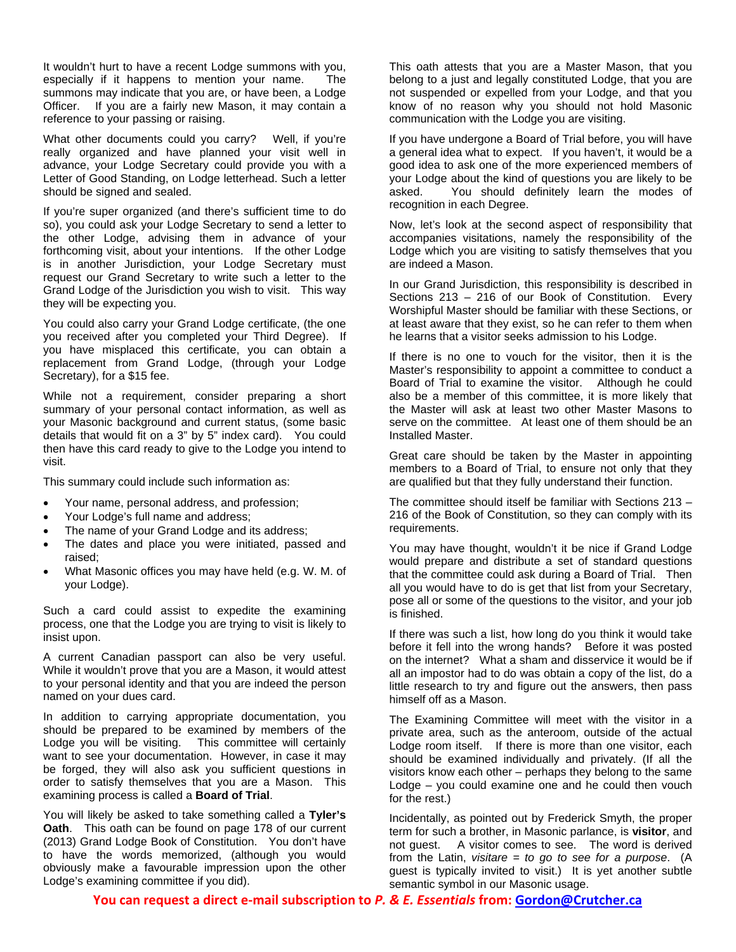It wouldn't hurt to have a recent Lodge summons with you, especially if it happens to mention your name. The summons may indicate that you are, or have been, a Lodge Officer. If you are a fairly new Mason, it may contain a reference to your passing or raising.

What other documents could you carry? Well, if you're really organized and have planned your visit well in advance, your Lodge Secretary could provide you with a Letter of Good Standing, on Lodge letterhead. Such a letter should be signed and sealed.

If you're super organized (and there's sufficient time to do so), you could ask your Lodge Secretary to send a letter to the other Lodge, advising them in advance of your forthcoming visit, about your intentions. If the other Lodge is in another Jurisdiction, your Lodge Secretary must request our Grand Secretary to write such a letter to the Grand Lodge of the Jurisdiction you wish to visit. This way they will be expecting you.

You could also carry your Grand Lodge certificate, (the one you received after you completed your Third Degree). If you have misplaced this certificate, you can obtain a replacement from Grand Lodge, (through your Lodge Secretary), for a \$15 fee.

While not a requirement, consider preparing a short summary of your personal contact information, as well as your Masonic background and current status, (some basic details that would fit on a 3" by 5" index card). You could then have this card ready to give to the Lodge you intend to visit.

This summary could include such information as:

- Your name, personal address, and profession;
- Your Lodge's full name and address;
- The name of your Grand Lodge and its address;
- The dates and place you were initiated, passed and raised;
- What Masonic offices you may have held (e.g. W. M. of your Lodge).

Such a card could assist to expedite the examining process, one that the Lodge you are trying to visit is likely to insist upon.

A current Canadian passport can also be very useful. While it wouldn't prove that you are a Mason, it would attest to your personal identity and that you are indeed the person named on your dues card.

In addition to carrying appropriate documentation, you should be prepared to be examined by members of the Lodge you will be visiting. This committee will certainly want to see your documentation. However, in case it may be forged, they will also ask you sufficient questions in order to satisfy themselves that you are a Mason. This examining process is called a **Board of Trial**.

You will likely be asked to take something called a **Tyler's Oath**. This oath can be found on page 178 of our current (2013) Grand Lodge Book of Constitution. You don't have to have the words memorized, (although you would obviously make a favourable impression upon the other Lodge's examining committee if you did).

This oath attests that you are a Master Mason, that you belong to a just and legally constituted Lodge, that you are not suspended or expelled from your Lodge, and that you know of no reason why you should not hold Masonic communication with the Lodge you are visiting.

If you have undergone a Board of Trial before, you will have a general idea what to expect. If you haven't, it would be a good idea to ask one of the more experienced members of your Lodge about the kind of questions you are likely to be asked. You should definitely learn the modes of recognition in each Degree.

Now, let's look at the second aspect of responsibility that accompanies visitations, namely the responsibility of the Lodge which you are visiting to satisfy themselves that you are indeed a Mason.

In our Grand Jurisdiction, this responsibility is described in Sections 213 – 216 of our Book of Constitution. Every Worshipful Master should be familiar with these Sections, or at least aware that they exist, so he can refer to them when he learns that a visitor seeks admission to his Lodge.

If there is no one to vouch for the visitor, then it is the Master's responsibility to appoint a committee to conduct a Board of Trial to examine the visitor. Although he could also be a member of this committee, it is more likely that the Master will ask at least two other Master Masons to serve on the committee. At least one of them should be an Installed Master.

Great care should be taken by the Master in appointing members to a Board of Trial, to ensure not only that they are qualified but that they fully understand their function.

The committee should itself be familiar with Sections 213 – 216 of the Book of Constitution, so they can comply with its requirements.

You may have thought, wouldn't it be nice if Grand Lodge would prepare and distribute a set of standard questions that the committee could ask during a Board of Trial. Then all you would have to do is get that list from your Secretary, pose all or some of the questions to the visitor, and your job is finished.

If there was such a list, how long do you think it would take before it fell into the wrong hands? Before it was posted on the internet? What a sham and disservice it would be if all an impostor had to do was obtain a copy of the list, do a little research to try and figure out the answers, then pass himself off as a Mason.

The Examining Committee will meet with the visitor in a private area, such as the anteroom, outside of the actual Lodge room itself. If there is more than one visitor, each should be examined individually and privately. (If all the visitors know each other – perhaps they belong to the same Lodge – you could examine one and he could then vouch for the rest.)

Incidentally, as pointed out by Frederick Smyth, the proper term for such a brother, in Masonic parlance, is **visitor**, and not guest. A visitor comes to see. The word is derived from the Latin, *visitare = to go to see for a purpose*. (A guest is typically invited to visit.) It is yet another subtle semantic symbol in our Masonic usage.

**You can request a direct e‐mail subscription to** *P. & E. Essentials* **from: Gordon@Crutcher.ca**